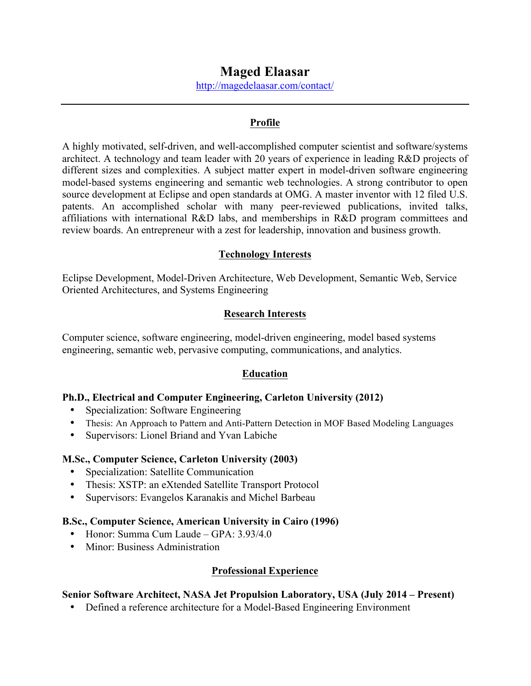# **Maged Elaasar**

http://magedelaasar.com/contact/

#### **Profile**

A highly motivated, self-driven, and well-accomplished computer scientist and software/systems architect. A technology and team leader with 20 years of experience in leading R&D projects of different sizes and complexities. A subject matter expert in model-driven software engineering model-based systems engineering and semantic web technologies. A strong contributor to open source development at Eclipse and open standards at OMG. A master inventor with 12 filed U.S. patents. An accomplished scholar with many peer-reviewed publications, invited talks, affiliations with international R&D labs, and memberships in R&D program committees and review boards. An entrepreneur with a zest for leadership, innovation and business growth.

#### **Technology Interests**

Eclipse Development, Model-Driven Architecture, Web Development, Semantic Web, Service Oriented Architectures, and Systems Engineering

#### **Research Interests**

Computer science, software engineering, model-driven engineering, model based systems engineering, semantic web, pervasive computing, communications, and analytics.

#### **Education**

#### **Ph.D., Electrical and Computer Engineering, Carleton University (2012)**

- Specialization: Software Engineering
- Thesis: An Approach to Pattern and Anti-Pattern Detection in MOF Based Modeling Languages
- Supervisors: Lionel Briand and Yvan Labiche

#### **M.Sc., Computer Science, Carleton University (2003)**

- Specialization: Satellite Communication
- Thesis: XSTP: an eXtended Satellite Transport Protocol
- Supervisors: Evangelos Karanakis and Michel Barbeau

#### **B.Sc., Computer Science, American University in Cairo (1996)**

- Honor: Summa Cum Laude GPA: 3.93/4.0
- Minor: Business Administration

#### **Professional Experience**

#### **Senior Software Architect, NASA Jet Propulsion Laboratory, USA (July 2014 – Present)**

• Defined a reference architecture for a Model-Based Engineering Environment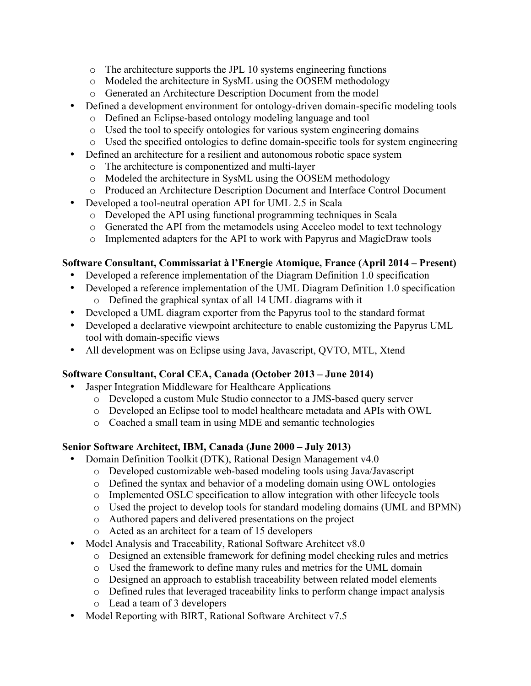- o The architecture supports the JPL 10 systems engineering functions
- o Modeled the architecture in SysML using the OOSEM methodology
- o Generated an Architecture Description Document from the model
- Defined a development environment for ontology-driven domain-specific modeling tools
	- o Defined an Eclipse-based ontology modeling language and tool
	- o Used the tool to specify ontologies for various system engineering domains
	- o Used the specified ontologies to define domain-specific tools for system engineering
	- Defined an architecture for a resilient and autonomous robotic space system
		- o The architecture is componentized and multi-layer
		- o Modeled the architecture in SysML using the OOSEM methodology
		- o Produced an Architecture Description Document and Interface Control Document
- Developed a tool-neutral operation API for UML 2.5 in Scala
	- o Developed the API using functional programming techniques in Scala
	- o Generated the API from the metamodels using Acceleo model to text technology
	- o Implemented adapters for the API to work with Papyrus and MagicDraw tools

## **Software Consultant, Commissariat à l'Energie Atomique, France (April 2014 – Present)**

- Developed a reference implementation of the Diagram Definition 1.0 specification
- Developed a reference implementation of the UML Diagram Definition 1.0 specification o Defined the graphical syntax of all 14 UML diagrams with it
- Developed a UML diagram exporter from the Papyrus tool to the standard format
- Developed a declarative viewpoint architecture to enable customizing the Papyrus UML tool with domain-specific views
- All development was on Eclipse using Java, Javascript, QVTO, MTL, Xtend

## **Software Consultant, Coral CEA, Canada (October 2013 – June 2014)**

- Jasper Integration Middleware for Healthcare Applications
	- o Developed a custom Mule Studio connector to a JMS-based query server
	- o Developed an Eclipse tool to model healthcare metadata and APIs with OWL
	- o Coached a small team in using MDE and semantic technologies

## **Senior Software Architect, IBM, Canada (June 2000 – July 2013)**

- Domain Definition Toolkit (DTK), Rational Design Management v4.0
	- o Developed customizable web-based modeling tools using Java/Javascript
	- o Defined the syntax and behavior of a modeling domain using OWL ontologies
	- o Implemented OSLC specification to allow integration with other lifecycle tools
	- o Used the project to develop tools for standard modeling domains (UML and BPMN)
	- o Authored papers and delivered presentations on the project
	- o Acted as an architect for a team of 15 developers
- Model Analysis and Traceability, Rational Software Architect v8.0
	- o Designed an extensible framework for defining model checking rules and metrics
	- o Used the framework to define many rules and metrics for the UML domain
	- o Designed an approach to establish traceability between related model elements
	- o Defined rules that leveraged traceability links to perform change impact analysis
	- o Lead a team of 3 developers
- Model Reporting with BIRT, Rational Software Architect v7.5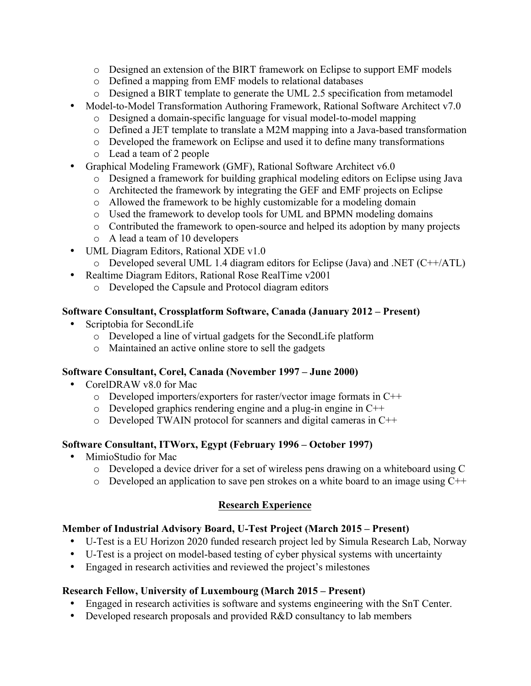- o Designed an extension of the BIRT framework on Eclipse to support EMF models
- o Defined a mapping from EMF models to relational databases
- o Designed a BIRT template to generate the UML 2.5 specification from metamodel
- Model-to-Model Transformation Authoring Framework, Rational Software Architect v7.0
	- o Designed a domain-specific language for visual model-to-model mapping
	- o Defined a JET template to translate a M2M mapping into a Java-based transformation
	- o Developed the framework on Eclipse and used it to define many transformations
	- o Lead a team of 2 people
- Graphical Modeling Framework (GMF), Rational Software Architect v6.0
	- o Designed a framework for building graphical modeling editors on Eclipse using Java
	- o Architected the framework by integrating the GEF and EMF projects on Eclipse
	- o Allowed the framework to be highly customizable for a modeling domain
	- o Used the framework to develop tools for UML and BPMN modeling domains
	- o Contributed the framework to open-source and helped its adoption by many projects
	- o A lead a team of 10 developers
- UML Diagram Editors, Rational XDE v1.0
	- $\circ$  Developed several UML 1.4 diagram editors for Eclipse (Java) and .NET (C++/ATL)
- Realtime Diagram Editors, Rational Rose RealTime v2001
	- o Developed the Capsule and Protocol diagram editors

## **Software Consultant, Crossplatform Software, Canada (January 2012 – Present)**

- Scriptobia for SecondLife
	- o Developed a line of virtual gadgets for the SecondLife platform
	- o Maintained an active online store to sell the gadgets

## **Software Consultant, Corel, Canada (November 1997 – June 2000)**

- CorelDRAW v8.0 for Mac
	- o Developed importers/exporters for raster/vector image formats in C++
	- o Developed graphics rendering engine and a plug-in engine in C++
	- o Developed TWAIN protocol for scanners and digital cameras in C++

## **Software Consultant, ITWorx, Egypt (February 1996 – October 1997)**

- MimioStudio for Mac
	- o Developed a device driver for a set of wireless pens drawing on a whiteboard using C
	- o Developed an application to save pen strokes on a white board to an image using C++

## **Research Experience**

## **Member of Industrial Advisory Board, U-Test Project (March 2015 – Present)**

- U-Test is a EU Horizon 2020 funded research project led by Simula Research Lab, Norway
- U-Test is a project on model-based testing of cyber physical systems with uncertainty
- Engaged in research activities and reviewed the project's milestones

## **Research Fellow, University of Luxembourg (March 2015 – Present)**

- Engaged in research activities is software and systems engineering with the SnT Center.
- Developed research proposals and provided R&D consultancy to lab members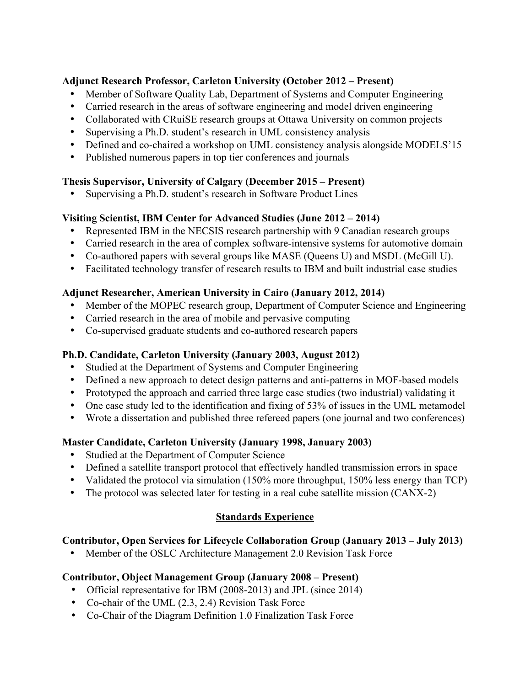### **Adjunct Research Professor, Carleton University (October 2012 – Present)**

- Member of Software Quality Lab, Department of Systems and Computer Engineering
- Carried research in the areas of software engineering and model driven engineering
- Collaborated with CRuiSE research groups at Ottawa University on common projects
- Supervising a Ph.D. student's research in UML consistency analysis
- Defined and co-chaired a workshop on UML consistency analysis alongside MODELS'15
- Published numerous papers in top tier conferences and journals

### **Thesis Supervisor, University of Calgary (December 2015 – Present)**

• Supervising a Ph.D. student's research in Software Product Lines

### **Visiting Scientist, IBM Center for Advanced Studies (June 2012 – 2014)**

- Represented IBM in the NECSIS research partnership with 9 Canadian research groups
- Carried research in the area of complex software-intensive systems for automotive domain
- Co-authored papers with several groups like MASE (Queens U) and MSDL (McGill U).
- Facilitated technology transfer of research results to IBM and built industrial case studies

### **Adjunct Researcher, American University in Cairo (January 2012, 2014)**

- Member of the MOPEC research group, Department of Computer Science and Engineering
- Carried research in the area of mobile and pervasive computing
- Co-supervised graduate students and co-authored research papers

### **Ph.D. Candidate, Carleton University (January 2003, August 2012)**

- Studied at the Department of Systems and Computer Engineering
- Defined a new approach to detect design patterns and anti-patterns in MOF-based models
- Prototyped the approach and carried three large case studies (two industrial) validating it
- One case study led to the identification and fixing of 53% of issues in the UML metamodel
- Wrote a dissertation and published three refereed papers (one journal and two conferences)

### **Master Candidate, Carleton University (January 1998, January 2003)**

- Studied at the Department of Computer Science
- Defined a satellite transport protocol that effectively handled transmission errors in space
- Validated the protocol via simulation (150% more throughput, 150% less energy than TCP)
- The protocol was selected later for testing in a real cube satellite mission (CANX-2)

### **Standards Experience**

### **Contributor, Open Services for Lifecycle Collaboration Group (January 2013 – July 2013)**

• Member of the OSLC Architecture Management 2.0 Revision Task Force

### **Contributor, Object Management Group (January 2008 – Present)**

- Official representative for IBM (2008-2013) and JPL (since 2014)
- Co-chair of the UML (2.3, 2.4) Revision Task Force
- Co-Chair of the Diagram Definition 1.0 Finalization Task Force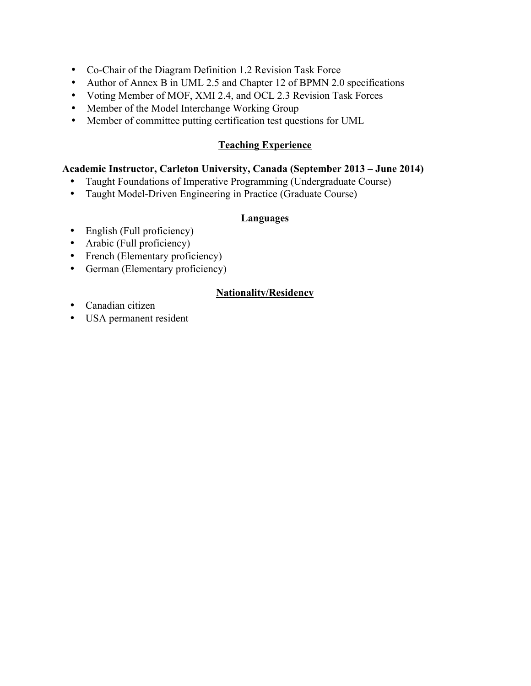- Co-Chair of the Diagram Definition 1.2 Revision Task Force
- Author of Annex B in UML 2.5 and Chapter 12 of BPMN 2.0 specifications
- Voting Member of MOF, XMI 2.4, and OCL 2.3 Revision Task Forces
- Member of the Model Interchange Working Group
- Member of committee putting certification test questions for UML

#### **Teaching Experience**

#### **Academic Instructor, Carleton University, Canada (September 2013 – June 2014)**

- Taught Foundations of Imperative Programming (Undergraduate Course)
- Taught Model-Driven Engineering in Practice (Graduate Course)

#### **Languages**

- English (Full proficiency)
- Arabic (Full proficiency)
- French (Elementary proficiency)
- German (Elementary proficiency)

### **Nationality/Residency**

- Canadian citizen
- USA permanent resident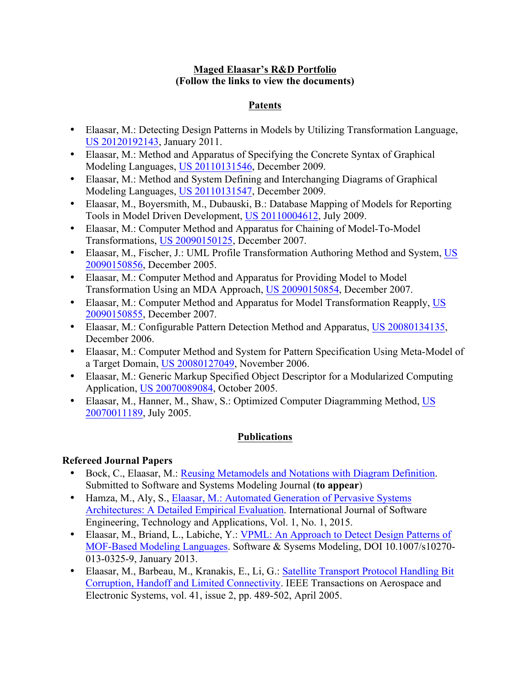#### **Maged Elaasar's R&D Portfolio (Follow the links to view the documents)**

### **Patents**

- Elaasar, M.: Detecting Design Patterns in Models by Utilizing Transformation Language, US 20120192143, January 2011.
- Elaasar, M.: Method and Apparatus of Specifying the Concrete Syntax of Graphical Modeling Languages, US 20110131546, December 2009.
- Elaasar, M.: Method and System Defining and Interchanging Diagrams of Graphical Modeling Languages, US 20110131547, December 2009.
- Elaasar, M., Boyersmith, M., Dubauski, B.: Database Mapping of Models for Reporting Tools in Model Driven Development, US 20110004612, July 2009.
- Elaasar, M.: Computer Method and Apparatus for Chaining of Model-To-Model Transformations, US 20090150125, December 2007.
- Elaasar, M., Fischer, J.: UML Profile Transformation Authoring Method and System, US 20090150856, December 2005.
- Elaasar, M.: Computer Method and Apparatus for Providing Model to Model Transformation Using an MDA Approach, US 20090150854, December 2007.
- Elaasar, M.: Computer Method and Apparatus for Model Transformation Reapply, US 20090150855, December 2007.
- Elaasar, M.: Configurable Pattern Detection Method and Apparatus, US 20080134135, December 2006.
- Elaasar, M.: Computer Method and System for Pattern Specification Using Meta-Model of a Target Domain, US 20080127049, November 2006.
- Elaasar, M.: Generic Markup Specified Object Descriptor for a Modularized Computing Application, US 20070089084, October 2005.
- Elaasar, M., Hanner, M., Shaw, S.: Optimized Computer Diagramming Method, US 20070011189, July 2005.

### **Publications**

### **Refereed Journal Papers**

- Bock, C., Elaasar, M.: Reusing Metamodels and Notations with Diagram Definition. Submitted to Software and Systems Modeling Journal (**to appear**)
- Hamza, M., Aly, S., Elaasar, M.: Automated Generation of Pervasive Systems Architectures: A Detailed Empirical Evaluation. International Journal of Software Engineering, Technology and Applications, Vol. 1, No. 1, 2015.
- Elaasar, M., Briand, L., Labiche, Y.: VPML: An Approach to Detect Design Patterns of MOF-Based Modeling Languages. Software & Sysems Modeling, DOI 10.1007/s10270- 013-0325-9, January 2013.
- Elaasar, M., Barbeau, M., Kranakis, E., Li, G.: Satellite Transport Protocol Handling Bit Corruption, Handoff and Limited Connectivity. IEEE Transactions on Aerospace and Electronic Systems, vol. 41, issue 2, pp. 489-502, April 2005.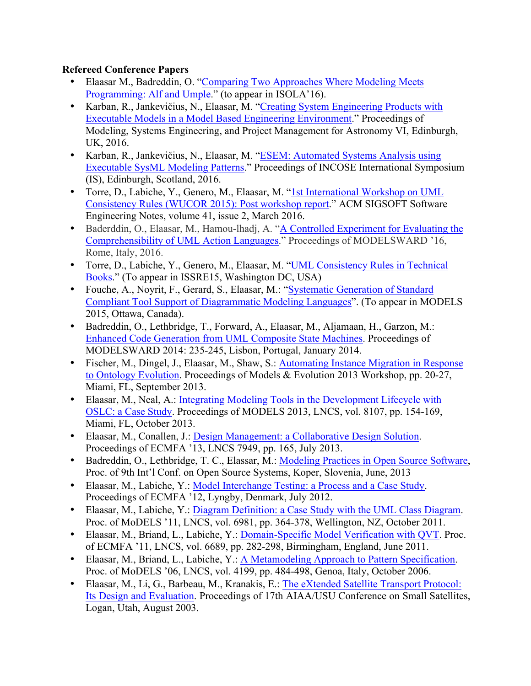### **Refereed Conference Papers**

- Elaasar M., Badreddin, O. "Comparing Two Approaches Where Modeling Meets Programming: Alf and Umple." (to appear in ISOLA'16).
- Karban, R., Jankevičius, N., Elaasar, M. "Creating System Engineering Products with Executable Models in a Model Based Engineering Environment." Proceedings of Modeling, Systems Engineering, and Project Management for Astronomy VI, Edinburgh, UK, 2016.
- Karban, R., Jankevičius, N., Elaasar, M. "ESEM: Automated Systems Analysis using Executable SysML Modeling Patterns." Proceedings of INCOSE International Symposium (IS), Edinburgh, Scotland, 2016.
- Torre, D., Labiche, Y., Genero, M., Elaasar, M. "1st International Workshop on UML Consistency Rules (WUCOR 2015): Post workshop report." ACM SIGSOFT Software Engineering Notes, volume 41, issue 2, March 2016.
- Baderddin, O., Elaasar, M., Hamou-lhadj, A. "A Controlled Experiment for Evaluating the Comprehensibility of UML Action Languages." Proceedings of MODELSWARD '16, Rome, Italy, 2016.
- Torre, D., Labiche, Y., Genero, M., Elaasar, M. "UML Consistency Rules in Technical Books." (To appear in ISSRE15, Washington DC, USA)
- Fouche, A., Noyrit, F., Gerard, S., Elaasar, M.: "Systematic Generation of Standard Compliant Tool Support of Diagrammatic Modeling Languages". (To appear in MODELS 2015, Ottawa, Canada).
- Badreddin, O., Lethbridge, T., Forward, A., Elaasar, M., Aljamaan, H., Garzon, M.: Enhanced Code Generation from UML Composite State Machines. Proceedings of MODELSWARD 2014: 235-245, Lisbon, Portugal, January 2014.
- Fischer, M., Dingel, J., Elaasar, M., Shaw, S.; Automating Instance Migration in Response to Ontology Evolution. Proceedings of Models & Evolution 2013 Workshop, pp. 20-27, Miami, FL, September 2013.
- Elaasar, M., Neal, A.: Integrating Modeling Tools in the Development Lifecycle with OSLC: a Case Study. Proceedings of MODELS 2013, LNCS, vol. 8107, pp. 154-169, Miami, FL, October 2013.
- Elaasar, M., Conallen, J.: Design Management: a Collaborative Design Solution. Proceedings of ECMFA '13, LNCS 7949, pp. 165, July 2013.
- Badreddin, O., Lethbridge, T. C., Elassar, M.: Modeling Practices in Open Source Software, Proc. of 9th Int'l Conf. on Open Source Systems, Koper, Slovenia, June, 2013
- Elaasar, M., Labiche, Y.: Model Interchange Testing: a Process and a Case Study. Proceedings of ECMFA '12, Lyngby, Denmark, July 2012.
- Elaasar, M., Labiche, Y.: Diagram Definition: a Case Study with the UML Class Diagram. Proc. of MoDELS '11, LNCS, vol. 6981, pp. 364-378, Wellington, NZ, October 2011.
- Elaasar, M., Briand, L., Labiche, Y.: Domain-Specific Model Verification with QVT. Proc. of ECMFA '11, LNCS, vol. 6689, pp. 282-298, Birmingham, England, June 2011.
- Elaasar, M., Briand, L., Labiche, Y.: A Metamodeling Approach to Pattern Specification. Proc. of MoDELS '06, LNCS, vol. 4199, pp. 484-498, Genoa, Italy, October 2006.
- Elaasar, M., Li, G., Barbeau, M., Kranakis, E.: The eXtended Satellite Transport Protocol: Its Design and Evaluation. Proceedings of 17th AIAA/USU Conference on Small Satellites, Logan, Utah, August 2003.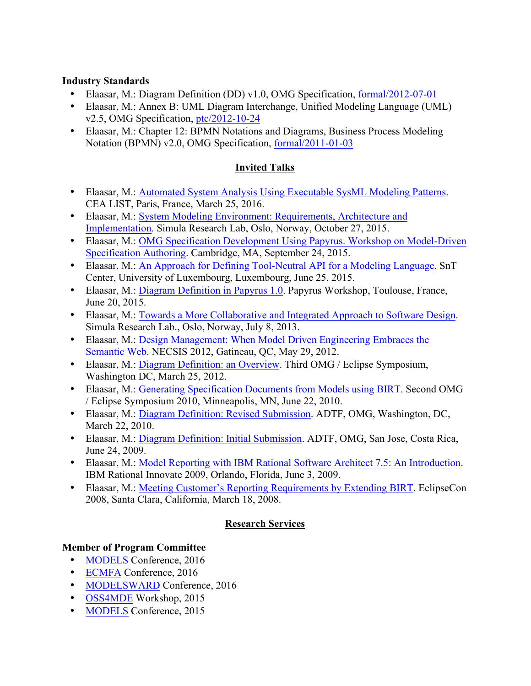### **Industry Standards**

- Elaasar, M.: Diagram Definition (DD) v1.0, OMG Specification, formal/2012-07-01
- Elaasar, M.: Annex B: UML Diagram Interchange, Unified Modeling Language (UML) v2.5, OMG Specification, ptc/2012-10-24
- Elaasar, M.: Chapter 12: BPMN Notations and Diagrams, Business Process Modeling Notation (BPMN) v2.0, OMG Specification, formal/2011-01-03

## **Invited Talks**

- Elaasar, M.: Automated System Analysis Using Executable SysML Modeling Patterns. CEA LIST, Paris, France, March 25, 2016.
- Elaasar, M.: System Modeling Environment: Requirements, Architecture and Implementation. Simula Research Lab, Oslo, Norway, October 27, 2015.
- Elaasar, M.: OMG Specification Development Using Papyrus. Workshop on Model-Driven Specification Authoring. Cambridge, MA, September 24, 2015.
- Elaasar, M.: An Approach for Defining Tool-Neutral API for a Modeling Language. SnT Center, University of Luxembourg, Luxembourg, June 25, 2015.
- Elaasar, M.: Diagram Definition in Papyrus 1.0. Papyrus Workshop, Toulouse, France, June 20, 2015.
- Elaasar, M.: Towards a More Collaborative and Integrated Approach to Software Design. Simula Research Lab., Oslo, Norway, July 8, 2013.
- Elaasar, M.: Design Management: When Model Driven Engineering Embraces the Semantic Web. NECSIS 2012, Gatineau, QC, May 29, 2012.
- Elaasar, M.: Diagram Definition: an Overview. Third OMG / Eclipse Symposium, Washington DC, March 25, 2012.
- Elaasar, M.: Generating Specification Documents from Models using BIRT. Second OMG / Eclipse Symposium 2010, Minneapolis, MN, June 22, 2010.
- Elaasar, M.: Diagram Definition: Revised Submission. ADTF, OMG, Washington, DC, March 22, 2010.
- Elaasar, M.: Diagram Definition: Initial Submission. ADTF, OMG, San Jose, Costa Rica, June 24, 2009.
- Elaasar, M.: Model Reporting with IBM Rational Software Architect 7.5: An Introduction. IBM Rational Innovate 2009, Orlando, Florida, June 3, 2009.
- Elaasar, M.: Meeting Customer's Reporting Requirements by Extending BIRT. EclipseCon 2008, Santa Clara, California, March 18, 2008.

## **Research Services**

## **Member of Program Committee**

- MODELS Conference, 2016
- ECMFA Conference, 2016
- MODELSWARD Conference, 2016
- OSS4MDE Workshop, 2015
- **MODELS** Conference, 2015